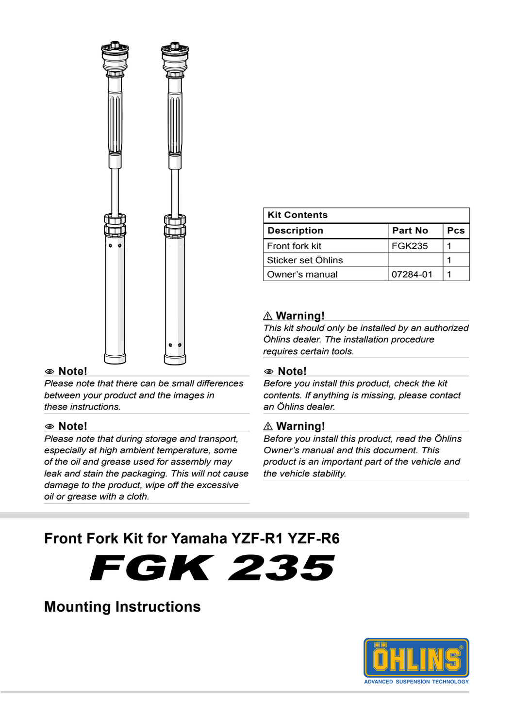

#### 1 **Note!**

*Please note that there can be small differences between your product and the images in these instructions.*

#### 1 **Note!**

*Please note that during storage and transport, especially at high ambient temperature, some of the oil and grease used for assembly may leak and stain the packaging. This will not cause damage to the product, wipe off the excessive oil or grease with a cloth.*

| <b>Kit Contents</b> |          |            |
|---------------------|----------|------------|
| <b>Description</b>  | Part No  | <b>Pcs</b> |
| Front fork kit      | FGK235   |            |
| Sticker set Öhlins  |          |            |
| Owner's manual      | 07284-01 |            |

#### ⚠ **Warning!**

*This kit should only be installed by an authorized Öhlins dealer. The installation procedure requires certain tools.*

#### 1 **Note!**

*Before you install this product, check the kit contents. If anything is missing, please contact an Öhlins dealer.*

#### ⚠ **Warning!**

*Before you install this product, read the Öhlins Owner's manual and this document. This product is an important part of the vehicle and the vehicle stability.*

### **Front Fork Kit for Yamaha YZF-R1 YZF-R6**

FGK 235

### **Mounting Instructions**

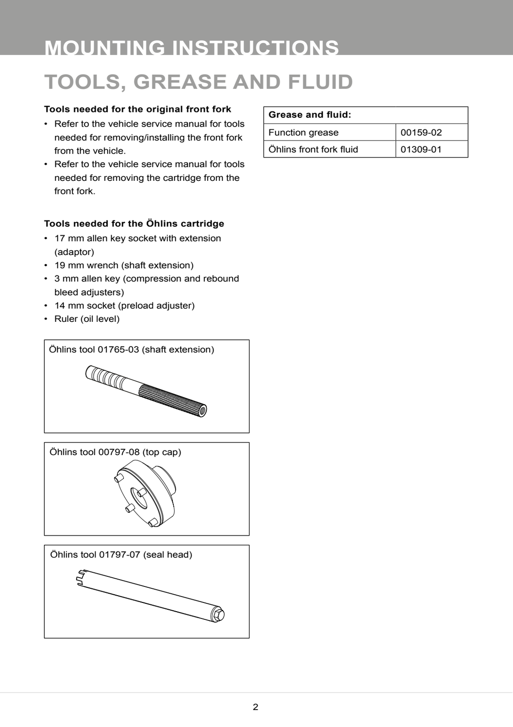# **TOOLS, GREASE AND FLUID**

#### **Tools needed for the original front fork**

- Refer to the vehicle service manual for tools needed for removing/installing the front fork from the vehicle.
- Refer to the vehicle service manual for tools needed for removing the cartridge from the front fork.

#### **Tools needed for the Öhlins cartridge**

- 17 mm allen key socket with extension (adaptor)
- 19 mm wrench (shaft extension)
- 3 mm allen key (compression and rebound bleed adjusters)
- 14 mm socket (preload adjuster)
- Ruler (oil level)

# Öhlins tool 01765-03 (shaft extension) THE CONTROL OF STRAIGHT

Öhlins tool 00797-08 (top cap)





#### **Grease and fluid:**

| Function grease         | 00159-02 |
|-------------------------|----------|
| Öhlins front fork fluid | 01309-01 |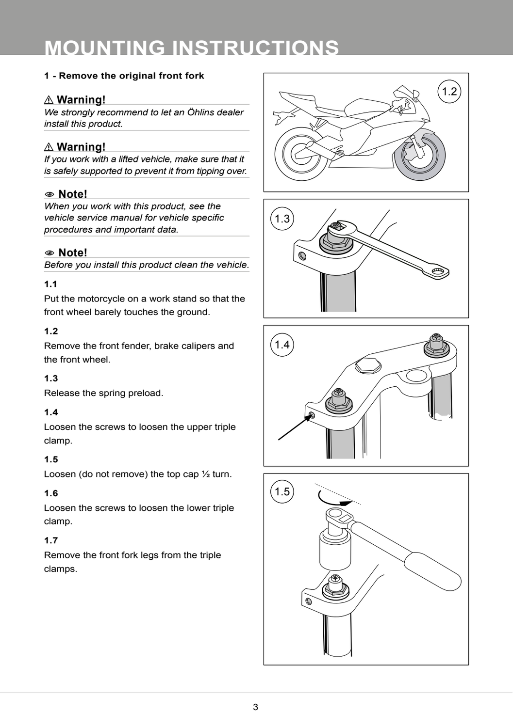#### **1 - Remove the original front fork**

#### ⚠ **Warning!**

*We strongly recommend to let an Öhlins dealer install this product.*

#### ⚠ **Warning!**

*If you work with a lifted vehicle, make sure that it is safely supported to prevent it from tipping over.*

#### 1 **Note!**

*When you work with this product, see the vehicle service manual for vehicle specific procedures and important data.*

#### 1 **Note!**

*Before you install this product clean the vehicle.*

#### **1.1**

Put the motorcycle on a work stand so that the front wheel barely touches the ground.

#### **1.2**

Remove the front fender, brake calipers and the front wheel.

#### **1.3**

Release the spring preload.

#### **1.4**

Loosen the screws to loosen the upper triple clamp.

#### **1.5**

Loosen (do not remove) the top cap ½ turn.

#### **1.6**

Loosen the screws to loosen the lower triple clamp.

#### **1.7**

Remove the front fork legs from the triple clamps.







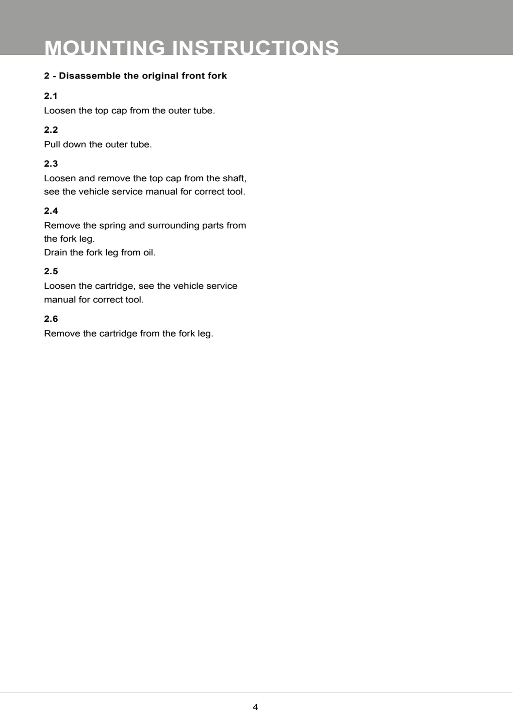#### **2 - Disassemble the original front fork**

#### **2.1**

Loosen the top cap from the outer tube.

#### **2.2**

Pull down the outer tube.

#### **2.3**

Loosen and remove the top cap from the shaft, see the vehicle service manual for correct tool.

#### **2.4**

Remove the spring and surrounding parts from the fork leg.

Drain the fork leg from oil.

#### **2.5**

Loosen the cartridge, see the vehicle service manual for correct tool.

#### **2.6**

Remove the cartridge from the fork leg.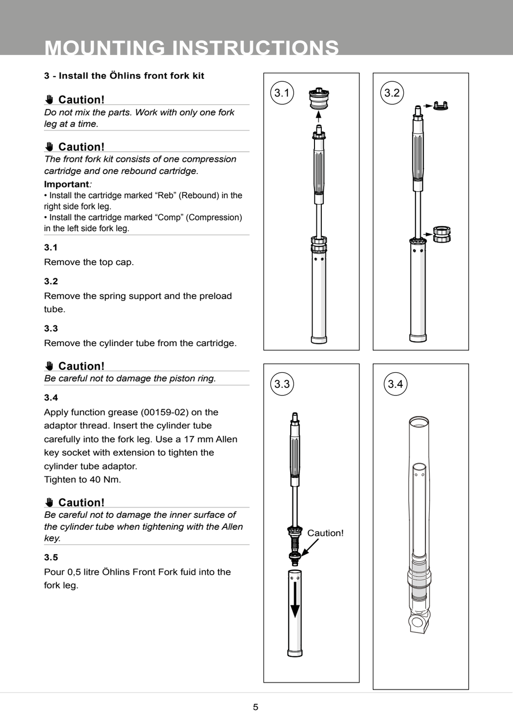#### **3 - Install the Öhlins front fork kit**

#### ✋**✋ Caution!**

*Do not mix the parts. Work with only one fork leg at a time.* 

#### ✋**✋ Caution!**

*The front fork kit consists of one compression cartridge and one rebound cartridge.* 

#### **Important***:*

• Install the cartridge marked "Reb" (Rebound) in the right side fork leg.

• Install the cartridge marked "Comp" (Compression) in the left side fork leg.

#### **3.1**

Remove the top cap.

#### **3.2**

Remove the spring support and the preload tube.

#### **3.3**

Remove the cylinder tube from the cartridge.

#### ✋**✋ Caution!**

*Be careful not to damage the piston ring.*

#### **3.4**

Apply function grease (00159-02) on the adaptor thread. Insert the cylinder tube carefully into the fork leg. Use a 17 mm Allen key socket with extension to tighten the cylinder tube adaptor.

Tighten to 40 Nm.

#### ✋**✋ Caution!**

*Be careful not to damage the inner surface of the cylinder tube when tightening with the Allen key.*

#### **3.5**

Pour 0,5 litre Öhlins Front Fork fuid into the fork leg.







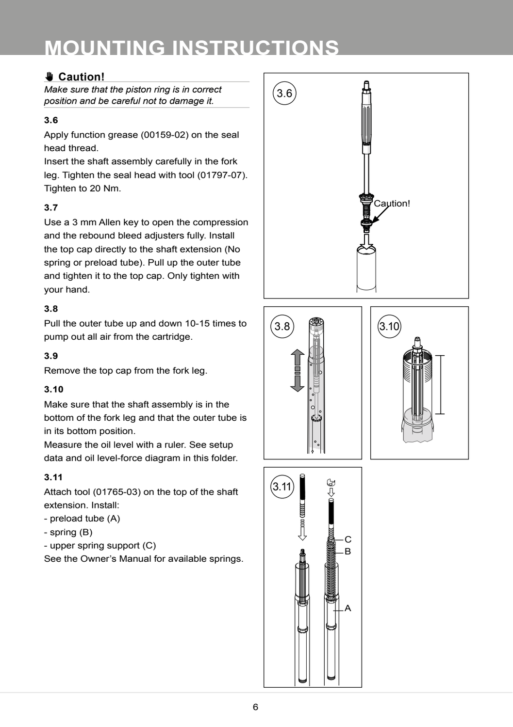#### ✋**✋ Caution!**

*Make sure that the piston ring is in correct position and be careful not to damage it.*

#### **3.6**

Apply function grease (00159-02) on the seal head thread.

Insert the shaft assembly carefully in the fork leg. Tighten the seal head with tool (01797-07). Tighten to 20 Nm.

#### **3.7**

Use a 3 mm Allen key to open the compression and the rebound bleed adjusters fully. Install the top cap directly to the shaft extension (No spring or preload tube). Pull up the outer tube and tighten it to the top cap. Only tighten with your hand.

#### **3.8**

Pull the outer tube up and down 10-15 times to pump out all air from the cartridge.

#### **3.9**

Remove the top cap from the fork leg.

#### **3.10**

Make sure that the shaft assembly is in the bottom of the fork leg and that the outer tube is in its bottom position.

Measure the oil level with a ruler. See setup data and oil level-force diagram in this folder.

#### **3.11**

Attach tool (01765-03) on the top of the shaft extension. Install:

- preload tube (A)
- spring (B)
- upper spring support (C)

See the Owner's Manual for available springs.

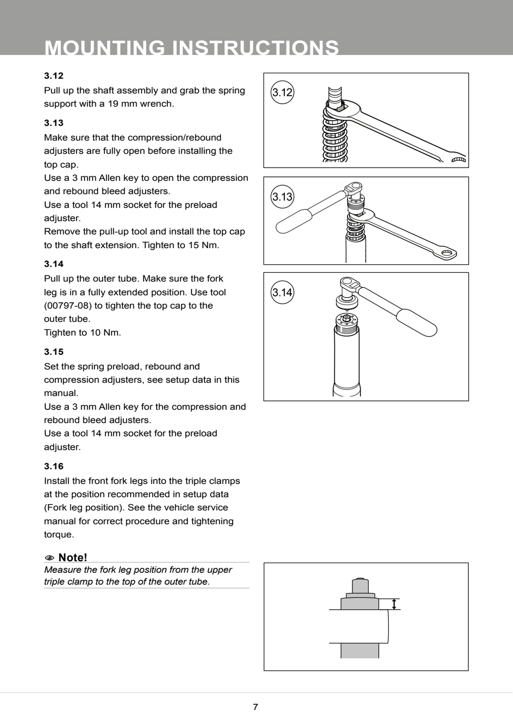#### **3.12**

Pull up the shaft assembly and grab the spring support with a 19 mm wrench.

#### **3.13**

Make sure that the compression/rebound adjusters are fully open before installing the top cap.

Use a 3 mm Allen key to open the compression and rebound bleed adjusters.

Use a tool 14 mm socket for the preload adiuster.

Remove the pull-up tool and install the top cap to the shaft extension. Tighten to 15 Nm.

#### **3.14**

Pull up the outer tube. Make sure the fork leg is in a fully extended position. Use tool (00797-08) to tighten the top cap to the outer tube.

Tighten to 10 Nm.

#### **3.15**

Set the spring preload, rebound and compression adjusters, see setup data in this manual.

Use a 3 mm Allen key for the compression and rebound bleed adjusters.

Use a tool 14 mm socket for the preload adiuster.

#### **3.16**

Install the front fork legs into the triple clamps at the position recommended in setup data (Fork leg position). See the vehicle service manual for correct procedure and tightening torque.

#### 1 **Note!**

*Measure the fork leg position from the upper triple clamp to the top of the outer tube.*